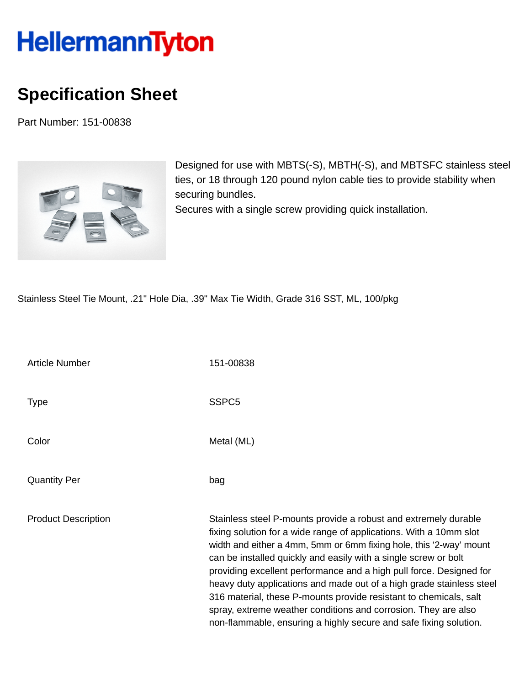## **HellermannTyton**

## **Specification Sheet**

Part Number: 151-00838



Designed for use with MBTS(-S), MBTH(-S), and MBTSFC stainless steel ties, or 18 through 120 pound nylon cable ties to provide stability when securing bundles.

Secures with a single screw providing quick installation.

Stainless Steel Tie Mount, .21" Hole Dia, .39" Max Tie Width, Grade 316 SST, ML, 100/pkg

| <b>Article Number</b>      | 151-00838                                                                                                                                                                                                                                                                                                                                                                                                                                                                                                                                                                                                                                 |
|----------------------------|-------------------------------------------------------------------------------------------------------------------------------------------------------------------------------------------------------------------------------------------------------------------------------------------------------------------------------------------------------------------------------------------------------------------------------------------------------------------------------------------------------------------------------------------------------------------------------------------------------------------------------------------|
| <b>Type</b>                | SSPC <sub>5</sub>                                                                                                                                                                                                                                                                                                                                                                                                                                                                                                                                                                                                                         |
| Color                      | Metal (ML)                                                                                                                                                                                                                                                                                                                                                                                                                                                                                                                                                                                                                                |
| <b>Quantity Per</b>        | bag                                                                                                                                                                                                                                                                                                                                                                                                                                                                                                                                                                                                                                       |
| <b>Product Description</b> | Stainless steel P-mounts provide a robust and extremely durable<br>fixing solution for a wide range of applications. With a 10mm slot<br>width and either a 4mm, 5mm or 6mm fixing hole, this '2-way' mount<br>can be installed quickly and easily with a single screw or bolt<br>providing excellent performance and a high pull force. Designed for<br>heavy duty applications and made out of a high grade stainless steel<br>316 material, these P-mounts provide resistant to chemicals, salt<br>spray, extreme weather conditions and corrosion. They are also<br>non-flammable, ensuring a highly secure and safe fixing solution. |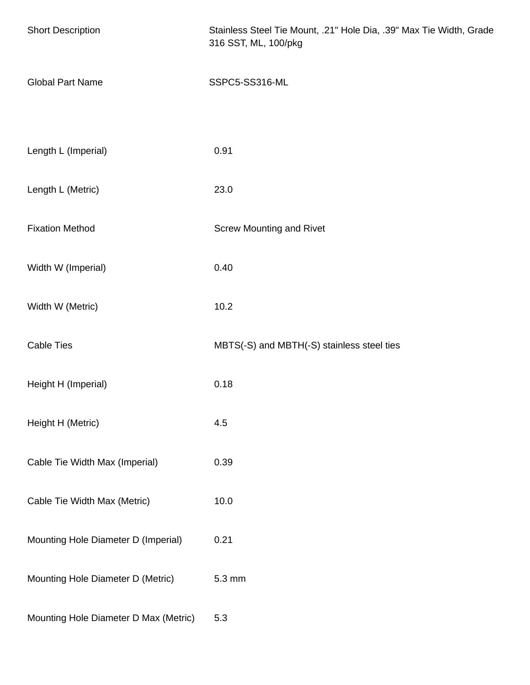| <b>Short Description</b>              | Stainless Steel Tie Mount, .21" Hole Dia, .39" Max Tie Width, Grade<br>316 SST, ML, 100/pkg |
|---------------------------------------|---------------------------------------------------------------------------------------------|
| <b>Global Part Name</b>               | SSPC5-SS316-ML                                                                              |
|                                       |                                                                                             |
| Length L (Imperial)                   | 0.91                                                                                        |
| Length L (Metric)                     | 23.0                                                                                        |
| <b>Fixation Method</b>                | <b>Screw Mounting and Rivet</b>                                                             |
| Width W (Imperial)                    | 0.40                                                                                        |
| Width W (Metric)                      | 10.2                                                                                        |
| <b>Cable Ties</b>                     | MBTS(-S) and MBTH(-S) stainless steel ties                                                  |
| Height H (Imperial)                   | 0.18                                                                                        |
| Height H (Metric)                     | 4.5                                                                                         |
| Cable Tie Width Max (Imperial)        | 0.39                                                                                        |
| Cable Tie Width Max (Metric)          | 10.0                                                                                        |
| Mounting Hole Diameter D (Imperial)   | 0.21                                                                                        |
| Mounting Hole Diameter D (Metric)     | 5.3 mm                                                                                      |
| Mounting Hole Diameter D Max (Metric) | 5.3                                                                                         |